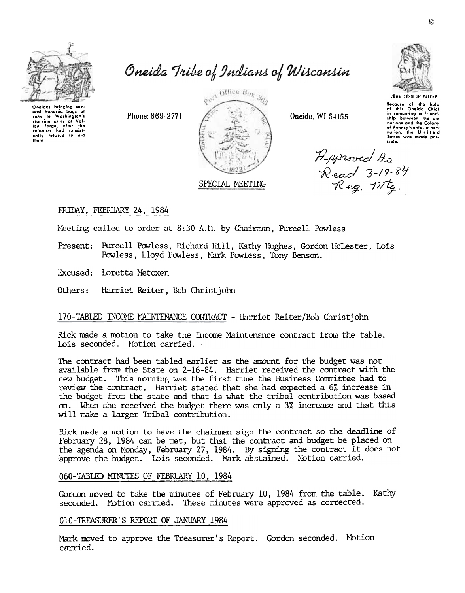

aral hundred boas of corn to Washington's

rearving army at the line of all and the low and the coloniars had consistently refused to add them.<br>See the coloniars had consistently refused to add them.

Oneida Tribe of Indians of Wisconsin

Phone: 869-2771



Oneida, WI 54155

**UGWA OENOLUM YATENE** 

Because of the help of this Oneida Chief in comenting a friend-<br>thip between the six notions and the Colony of Pennsylvania, a new<br>nation, the United<br>Status was made pos-

Reproved As<br>Read 3-19-84<br>Reg. 111tg.

# FRIDAY, FEBRUARY 24, 1984

Neeting called to order at 8:30 A.II. by Chairman, Purcell Powless

Present: Purcell Powless, Richard Hill, Kathy Hughes, Gordon McLester, Lois Powless, Lloyd Powless, Mark Powless, Tony Benson.

Excused: Loretta Metoxen

Others: Harriet Reiter, Bob Christjohn

# 170-TABLED INCOME MAINTENANCE CONTRACT - Harriet Reiter/Bob Christjohn

Rick made a motion to take the Income Maintenance contract from the table. Lois seconded. Motion carried.

The contract had been tabled earlier as the amount for the budget was not available from the State on 2-16-84. Harriet received the contract with the new budget. This norning was the first time the Business Committee had to review the contract. Harriet stated that she had expected a 6% increase in the budget from the state and that is what the tribal contribution was based on. When she received the budget there was only a 3% increase and that this will make a larger Tribal contribution.

Rick made a motion to have the chairman sign the contract so the deadline of February 28, 1984 can be met, but that the contract and budget be placed on the agenda on Monday, February 27, 1984. By signing the contract it does not approve the budget. Lois seconded. Mark abstained. Motion carried.

#### 060-TABLED MINUTES OF FEBRUARY 10, 1984

Gordon moved to take the minutes of February 10, 1984 from the table. Kathy seconded. Motion carried. These minutes were approved as corrected.

#### 010-TREASURER'S REPORT OF JANUARY 1984

Mark moved to approve the Treasurer's Report. Gordon seconded. Motion carried.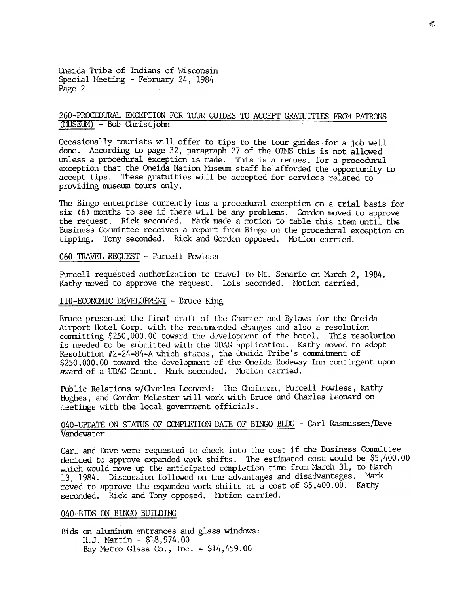Oneida Tribe of Indians of \v'isconsin Special Meeting - February 24, 1984 Page 2

# 260-PROCEDURAL EXCEPTION FOR TOUR GUIDES TO ACCEPT GRATUITIES FROM PATRONS (MUSEUM) - Bob Christjohn

Occasionally tourists will offer to tips to the tour guides for a job well done. According to page 32, paragraph 27 of the OIMS this is not allowed unless a procedural exception is made. This is a request for a procedural exception that the Oneida Nation Museum staff be afforded the opportunity to accept tips. These gratuities will be accepted for services related to providing museum tours only.

The Bingo enterprise currently has a procedural exception on a trial basis for six (6) months to see if there will be any problems. Gordon moved to approve the request. Rick seconded. Mark made a motion to table this item until the Business Committee receives a report from Bingo on the procedural exception on tipping. Tony seconded. Rick and Gordon opposed. Motion carried.

060-TRAVEL REQUEST - Purcell Powless

Purcell requested authorization to travel to Mt. Senario on March 2, 1984. Kathy moved to approve the request. Lois seconded. Motion carried.

#### 110-ECONOMIC DEVELOPMENT - Bruce King

Bruce presented the final draft of the Charter and Bylaws for the Oneida Airport Hotel Corp. with the recommended changes and also a resolution committing \$250,000.00 toward the development of the hotel. This resolution is needed to be submitted with the UDAG application. Kathy moved to adopt Resolution  $#2 - 24 - 84 - A$  which states, the Oneida Tribe's commitment of \$250,000.00 toward the development of the Oneida Rodeway Inn contingent upon award of a UDAG Grant. Mark seconded. Motion carried.

Public Relations w/Charles Leonard: The Chainman, Purcell Powless, Kathy Hughes, and Gordon McLester will work with Bruce and Charles Leonard on meetings with the local government officials.

#### 040-UPDATE ON STATUS OF COMPLETION DATE OF BINGO BLDG - Carl Rasmussen/Dave Vandewater

Carl and Dave were requested to check into the cost if the Business Committee decided to approve expanded work shifts. The estimated cost would be  $$5,400.00$ which would move up the anticipated completion time from larch 31, to Narch 13, 1984. Discussion followed on the advantages and disadvantages. Mark moved to approve the expanded work shifts at a cost of \$5,400.00. Kathy seconded. Rick and Tony opposed. Notion carried.

#### 040-BIDS ON BINGO BUILDING

Bids on aluminum entrances and glass windows: H.J. Martin - \$18,974.00 Bay Metro Glass  $Co.$ , Inc. - \$14,459.00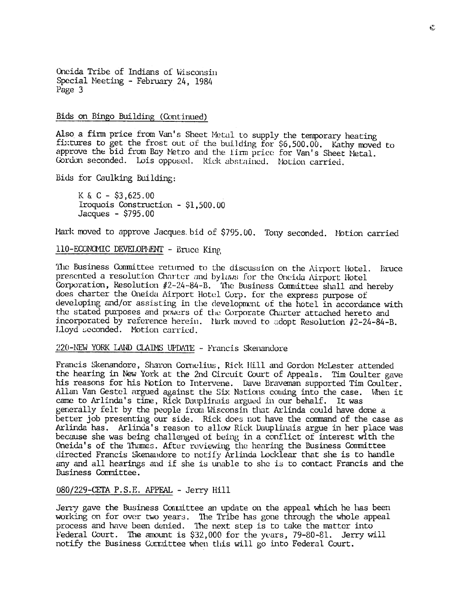Oneida Tribe of Indians of Wisconsin Special Meeting - February 24, 1984 Page 3

#### Bids on Bingo Building (Continued)

Also a firm price from Van's Sheet Metal to supply the temporary heating fixtures to get the frost out of the building for \$6,500.00. Kathy moved to approve the bid from Bay Metro and the lirm price for Van's Sheet Metal. Gordon seconded. Lois opposed. Rick abstained. Notion carried.

Bids for Caulking Building:

 $K & C - $3,625.00$ Iroquois Construction - \$1.500.00 Jacques -  $$795.00$ 

Mark moved to approve Jacques bid of \$795.00. Tony seconded. Notion carried

110-ECONOMIC DEVELOPMENT - Bruce King

The Business Committee returned to the discussion on the Airport Hotel. Bruce presented a resolution Charter and bylaws for the Oneida Airport Hotel Corporation, Resolution #2-24-84-B. The Business Committee shall and hereby does charter the Oneida Airport Hotel Corp. for the express purpose of developing and/or assisting in the development of the hotel in accordance with the stated purposes and powers of the Corporate Charter attached hereto and incorporated by reference herein. Nark moved to adopt Resolution #2-24-84-B. Lloyd seconded. Motion carried.

220-NEW YORK LAND CLAIMS UPDATE - Francis Skenandore

Francis Skenandore, Sharon Cornelius, Rick Hill and Gordon McLester attended the hearing in New York at the 2nd Circuit Court of Appeals. Tim Coulter gave his reasons for his Notion to Intervene. Dave Braveman supported Tim Coulter. Allan Van Gestel argued against the Six Nations coming into the case. When it came to Arlinda's time, Rick Dauplinais argued in our behalf. It was generally felt by the people from Wisconsin that Arlinda could have done a better job presenting our side. Rick does not have the command of the case as Arlinda has. Arlinda's reason to allow Rick Dauplinais argue in her place was because she was being challenged of being in a conflict of interest with the Oneida's of the Thames. After reviewing the hearing the Business Committee directed Francis Skenandore to notify Arlinda Locklear that she is to handle any and all hearings and if she is unable to she is to contact Francis and the Business Committee.

080/229-CETA P.S.E. APPEAL - Jerry Hill

Jerry gave the Business Connittee an update on the appeal which he has been working on for over two years. The Tribe has gone through the whole appeal process and have been denied. The next step is to take the matter into Federal Court. The amount is \$32,000 for the years, 79-80-81. Jerry will notify the Business Committee when this will go into Federal Court.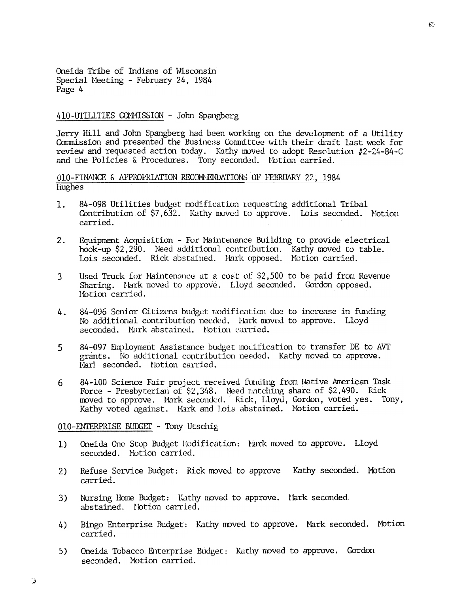Oneida Tribe of Indians of Wisconsin Special Meeting - February 24, 1984 Page 4

#### 410-UTILITIES COMMISSION - John Spangberg

Jerry Hill and John Spangberg had been working on the development of a Utility Commission and presented the Business Committee with their draft last week for review and requested action today. Kathy moved to adopt Resolution #2-24-84-C and the Policies & Procedures. Tony seconded. Notion carried.

010-FINANCE & APPROPRIATION RECOMMENDATIONS OF FEBRUARY 22, 1984 **Hughes** 

- $1.$ 84-098 Utilities budget modification requesting additional Tribal Contribution of \$7,632. Kathy moved to approve. Lois seconded. Motion carried.
- Equipment Acquisition For Maintenance Building to provide electrical  $2.$ hook-up \$2,290. Need additional contribution. Kathy moved to table. Lois seconded. Rick abstained. Mark opposed. Motion carried.
- 3 Used Truck for Maintenance at a cost of \$2,500 to be paid from Revenue Sharing. Nark moved to approve. Lloyd seconded. Gordon opposed. Motion carried.
- 84-096 Senior Citizens budget modification due to increase in funding 4. No additional contribution needed. Fark moved to approve. Lloyd seconded. Mark abstained. Notion carried.
- 5 84-097 Engloyment Assistance budget modification to transfer DE to AVT grants. No additional contribution needed. Kathy moved to approve. Marl seconded. Notion carried.
- 84-100 Science Fair project received funding from Native American Task 6 Force - Presbyterian of \$2,348. Need matching share of \$2,490. Rick<br>moved to approve. Mark seconded. Rick, Lloyd, Gordon, voted yes. Tony, Kathy voted against. Mark and Lois abstained. Motion carried.

010-ENTERPRISE BUDGET - Tony Utschig

- Oneida One Stop Budget Modification: Nark moved to approve. Lloyd  $1)$ seconded. Notion carried.
- Refuse Service Budget: Rick moved to approve Kathy seconded. Motion  $2)$ carried.
- Nursing Home Budget: Kathy moved to approve. Mark seconded.  $3)$ abstained. Notion carried.
- Bingo Enterprise Budget: Kathy moved to approve. Mark seconded. Motion 4) carried.
- Oneida Tobacco Enterprise Budget: Kathy moved to approve. Gordon 5) seconded. Notion carried.